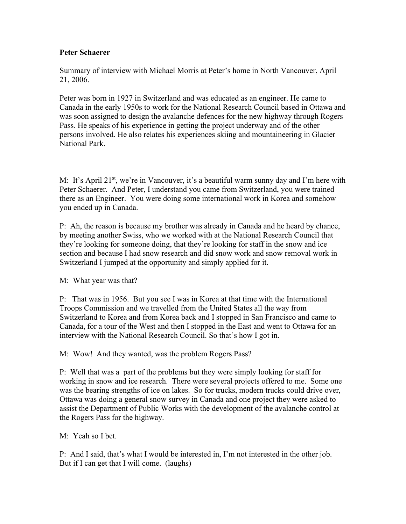## Peter Schaerer

Summary of interview with Michael Morris at Peter's home in North Vancouver, April 21, 2006.

Peter was born in 1927 in Switzerland and was educated as an engineer. He came to Canada in the early 1950s to work for the National Research Council based in Ottawa and was soon assigned to design the avalanche defences for the new highway through Rogers Pass. He speaks of his experience in getting the project underway and of the other persons involved. He also relates his experiences skiing and mountaineering in Glacier National Park.

M: It's April 21<sup>st</sup>, we're in Vancouver, it's a beautiful warm sunny day and I'm here with Peter Schaerer. And Peter, I understand you came from Switzerland, you were trained there as an Engineer. You were doing some international work in Korea and somehow you ended up in Canada.

P: Ah, the reason is because my brother was already in Canada and he heard by chance, by meeting another Swiss, who we worked with at the National Research Council that they're looking for someone doing, that they're looking for staff in the snow and ice section and because I had snow research and did snow work and snow removal work in Switzerland I jumped at the opportunity and simply applied for it.

M: What year was that?

P: That was in 1956. But you see I was in Korea at that time with the International Troops Commission and we travelled from the United States all the way from Switzerland to Korea and from Korea back and I stopped in San Francisco and came to Canada, for a tour of the West and then I stopped in the East and went to Ottawa for an interview with the National Research Council. So that's how I got in.

M: Wow! And they wanted, was the problem Rogers Pass?

P: Well that was a part of the problems but they were simply looking for staff for working in snow and ice research. There were several projects offered to me. Some one was the bearing strengths of ice on lakes. So for trucks, modern trucks could drive over, Ottawa was doing a general snow survey in Canada and one project they were asked to assist the Department of Public Works with the development of the avalanche control at the Rogers Pass for the highway.

M: Yeah so I bet.

P: And I said, that's what I would be interested in, I'm not interested in the other job. But if I can get that I will come. (laughs)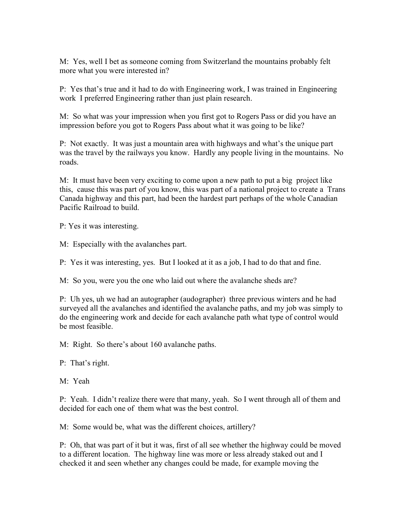M: Yes, well I bet as someone coming from Switzerland the mountains probably felt more what you were interested in?

P: Yes that's true and it had to do with Engineering work, I was trained in Engineering work I preferred Engineering rather than just plain research.

M: So what was your impression when you first got to Rogers Pass or did you have an impression before you got to Rogers Pass about what it was going to be like?

P: Not exactly. It was just a mountain area with highways and what's the unique part was the travel by the railways you know. Hardly any people living in the mountains. No roads.

M: It must have been very exciting to come upon a new path to put a big project like this, cause this was part of you know, this was part of a national project to create a Trans Canada highway and this part, had been the hardest part perhaps of the whole Canadian Pacific Railroad to build.

P: Yes it was interesting.

M: Especially with the avalanches part.

P: Yes it was interesting, yes. But I looked at it as a job, I had to do that and fine.

M: So you, were you the one who laid out where the avalanche sheds are?

P: Uh yes, uh we had an autographer (audographer) three previous winters and he had surveyed all the avalanches and identified the avalanche paths, and my job was simply to do the engineering work and decide for each avalanche path what type of control would be most feasible.

M: Right. So there's about 160 avalanche paths.

P: That's right.

M: Yeah

P: Yeah. I didn't realize there were that many, yeah. So I went through all of them and decided for each one of them what was the best control.

M: Some would be, what was the different choices, artillery?

P: Oh, that was part of it but it was, first of all see whether the highway could be moved to a different location. The highway line was more or less already staked out and I checked it and seen whether any changes could be made, for example moving the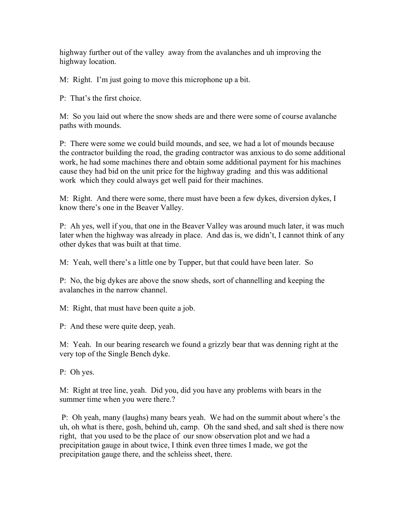highway further out of the valley away from the avalanches and uh improving the highway location.

M: Right. I'm just going to move this microphone up a bit.

P: That's the first choice.

M: So you laid out where the snow sheds are and there were some of course avalanche paths with mounds.

P: There were some we could build mounds, and see, we had a lot of mounds because the contractor building the road, the grading contractor was anxious to do some additional work, he had some machines there and obtain some additional payment for his machines cause they had bid on the unit price for the highway grading and this was additional work which they could always get well paid for their machines.

M: Right. And there were some, there must have been a few dykes, diversion dykes, I know there's one in the Beaver Valley.

P: Ah yes, well if you, that one in the Beaver Valley was around much later, it was much later when the highway was already in place. And das is, we didn't, I cannot think of any other dykes that was built at that time.

M: Yeah, well there's a little one by Tupper, but that could have been later. So

P: No, the big dykes are above the snow sheds, sort of channelling and keeping the avalanches in the narrow channel.

M: Right, that must have been quite a job.

P: And these were quite deep, yeah.

M: Yeah. In our bearing research we found a grizzly bear that was denning right at the very top of the Single Bench dyke.

P: Oh yes.

M: Right at tree line, yeah. Did you, did you have any problems with bears in the summer time when you were there.?

 P: Oh yeah, many (laughs) many bears yeah. We had on the summit about where's the uh, oh what is there, gosh, behind uh, camp. Oh the sand shed, and salt shed is there now right, that you used to be the place of our snow observation plot and we had a precipitation gauge in about twice, I think even three times I made, we got the precipitation gauge there, and the schleiss sheet, there.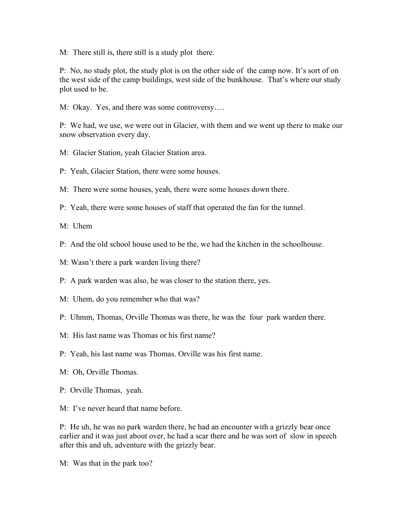M: There still is, there still is a study plot there.

P: No, no study plot, the study plot is on the other side of the camp now. It's sort of on the west side of the camp buildings, west side of the bunkhouse. That's where our study plot used to be.

M: Okay. Yes, and there was some controversy….

P: We had, we use, we were out in Glacier, with them and we went up there to make our snow observation every day.

- M: Glacier Station, yeah Glacier Station area.
- P: Yeah, Glacier Station, there were some houses.

M: There were some houses, yeah, there were some houses down there.

P: Yeah, there were some houses of staff that operated the fan for the tunnel.

M: Uhem

- P: And the old school house used to be the, we had the kitchen in the schoolhouse.
- M: Wasn't there a park warden living there?

P: A park warden was also, he was closer to the station there, yes.

- M: Uhem, do you remember who that was?
- P: Uhmm, Thomas, Orville Thomas was there, he was the four park warden there.
- M: His last name was Thomas or his first name?
- P: Yeah, his last name was Thomas. Orville was his first name.
- M: Oh, Orville Thomas.
- P: Orville Thomas, yeah.

M: I've never heard that name before.

P: He uh, he was no park warden there, he had an encounter with a grizzly bear once earlier and it was just about over, he had a scar there and he was sort of slow in speech after this and uh, adventure with the grizzly bear.

M: Was that in the park too?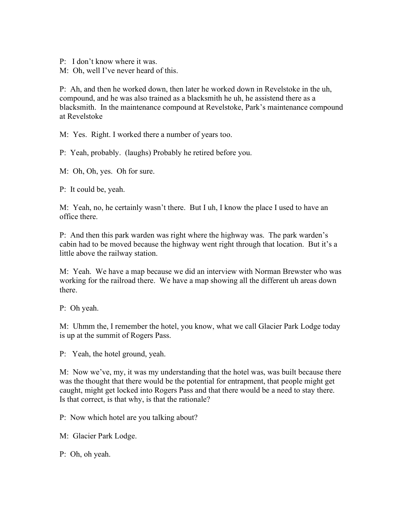- P: I don't know where it was.
- M: Oh, well I've never heard of this.

P: Ah, and then he worked down, then later he worked down in Revelstoke in the uh, compound, and he was also trained as a blacksmith he uh, he assistend there as a blacksmith. In the maintenance compound at Revelstoke, Park's maintenance compound at Revelstoke

M: Yes. Right. I worked there a number of years too.

P: Yeah, probably. (laughs) Probably he retired before you.

M: Oh, Oh, yes. Oh for sure.

P: It could be, yeah.

M: Yeah, no, he certainly wasn't there. But I uh, I know the place I used to have an office there.

P: And then this park warden was right where the highway was. The park warden's cabin had to be moved because the highway went right through that location. But it's a little above the railway station.

M: Yeah. We have a map because we did an interview with Norman Brewster who was working for the railroad there. We have a map showing all the different uh areas down there.

P: Oh yeah.

M: Uhmm the, I remember the hotel, you know, what we call Glacier Park Lodge today is up at the summit of Rogers Pass.

P: Yeah, the hotel ground, yeah.

M: Now we've, my, it was my understanding that the hotel was, was built because there was the thought that there would be the potential for entrapment, that people might get caught, might get locked into Rogers Pass and that there would be a need to stay there. Is that correct, is that why, is that the rationale?

P: Now which hotel are you talking about?

M: Glacier Park Lodge.

P: Oh, oh yeah.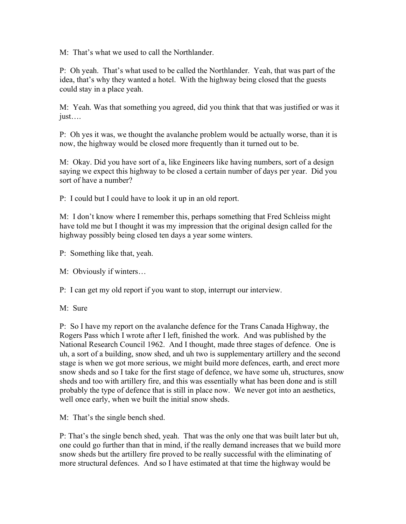M: That's what we used to call the Northlander.

P: Oh yeah. That's what used to be called the Northlander. Yeah, that was part of the idea, that's why they wanted a hotel. With the highway being closed that the guests could stay in a place yeah.

M: Yeah. Was that something you agreed, did you think that that was justified or was it just….

P: Oh yes it was, we thought the avalanche problem would be actually worse, than it is now, the highway would be closed more frequently than it turned out to be.

M: Okay. Did you have sort of a, like Engineers like having numbers, sort of a design saying we expect this highway to be closed a certain number of days per year. Did you sort of have a number?

P: I could but I could have to look it up in an old report.

M: I don't know where I remember this, perhaps something that Fred Schleiss might have told me but I thought it was my impression that the original design called for the highway possibly being closed ten days a year some winters.

P: Something like that, yeah.

M: Obviously if winters…

P: I can get my old report if you want to stop, interrupt our interview.

M: Sure

P: So I have my report on the avalanche defence for the Trans Canada Highway, the Rogers Pass which I wrote after I left, finished the work. And was published by the National Research Council 1962. And I thought, made three stages of defence. One is uh, a sort of a building, snow shed, and uh two is supplementary artillery and the second stage is when we got more serious, we might build more defences, earth, and erect more snow sheds and so I take for the first stage of defence, we have some uh, structures, snow sheds and too with artillery fire, and this was essentially what has been done and is still probably the type of defence that is still in place now. We never got into an aesthetics, well once early, when we built the initial snow sheds.

M: That's the single bench shed.

P: That's the single bench shed, yeah. That was the only one that was built later but uh, one could go further than that in mind, if the really demand increases that we build more snow sheds but the artillery fire proved to be really successful with the eliminating of more structural defences. And so I have estimated at that time the highway would be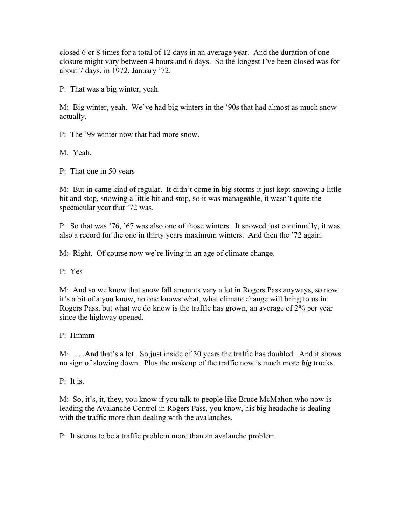closed 6 or 8 times for a total of 12 days in an average year. And the duration of one closure might vary between 4 hours and 6 days. So the longest I've been closed was for about 7 days, in 1972, January '72.

P: That was a big winter, yeah.

M: Big winter, yeah. We've had big winters in the '90s that had almost as much snow actually.

P: The '99 winter now that had more snow.

M: Yeah.

P: That one in 50 years

M: But in came kind of regular. It didn't come in big storms it just kept snowing a little bit and stop, snowing a little bit and stop, so it was manageable, it wasn't quite the spectacular year that '72 was.

P: So that was '76, '67 was also one of those winters. It snowed just continually, it was also a record for the one in thirty years maximum winters. And then the '72 again.

M: Right. Of course now we're living in an age of climate change.

P: Yes

M: And so we know that snow fall amounts vary a lot in Rogers Pass anyways, so now it's a bit of a you know, no one knows what, what climate change will bring to us in Rogers Pass, but what we do know is the traffic has grown, an average of 2% per year since the highway opened.

P: Hmmm

M: …..And that's a lot. So just inside of 30 years the traffic has doubled. And it shows no sign of slowing down. Plus the makeup of the traffic now is much more big trucks.

P: It is.

M: So, it's, it, they, you know if you talk to people like Bruce McMahon who now is leading the Avalanche Control in Rogers Pass, you know, his big headache is dealing with the traffic more than dealing with the avalanches.

P: It seems to be a traffic problem more than an avalanche problem.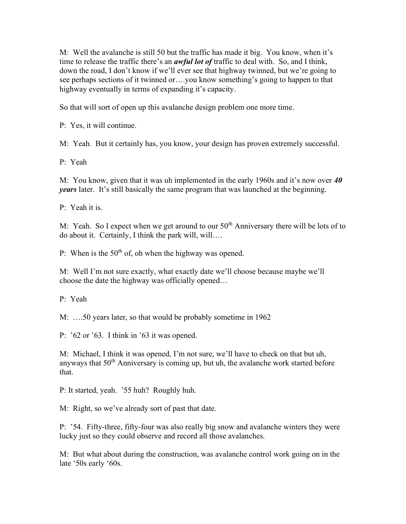M: Well the avalanche is still 50 but the traffic has made it big. You know, when it's time to release the traffic there's an *awful lot of* traffic to deal with. So, and I think, down the road, I don't know if we'll ever see that highway twinned, but we're going to see perhaps sections of it twinned or….you know something's going to happen to that highway eventually in terms of expanding it's capacity.

So that will sort of open up this avalanche design problem one more time.

P: Yes, it will continue.

M: Yeah. But it certainly has, you know, your design has proven extremely successful.

P: Yeah

M: You know, given that it was uh implemented in the early 1960s and it's now over  $40$ years later. It's still basically the same program that was launched at the beginning.

P: Yeah it is.

M: Yeah. So I expect when we get around to our  $50<sup>th</sup>$  Anniversary there will be lots of to do about it. Certainly, I think the park will, will….

P: When is the  $50<sup>th</sup>$  of, oh when the highway was opened.

M: Well I'm not sure exactly, what exactly date we'll choose because maybe we'll choose the date the highway was officially opened…

P: Yeah

M: ….50 years later, so that would be probably sometime in 1962

P: '62 or '63. I think in '63 it was opened.

M: Michael, I think it was opened, I'm not sure, we'll have to check on that but uh, anyways that  $50<sup>th</sup>$  Anniversary is coming up, but uh, the avalanche work started before that.

P: It started, yeah. '55 huh? Roughly huh.

M: Right, so we've already sort of past that date.

P: '54. Fifty-three, fifty-four was also really big snow and avalanche winters they were lucky just so they could observe and record all those avalanches.

M: But what about during the construction, was avalanche control work going on in the late '50s early '60s.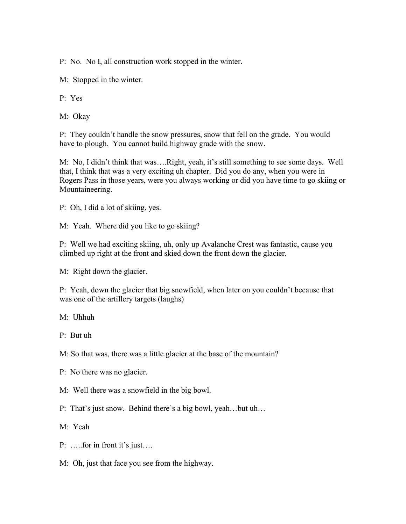P: No. No I, all construction work stopped in the winter.

M: Stopped in the winter.

P: Yes

M: Okay

P: They couldn't handle the snow pressures, snow that fell on the grade. You would have to plough. You cannot build highway grade with the snow.

M: No, I didn't think that was….Right, yeah, it's still something to see some days. Well that, I think that was a very exciting uh chapter. Did you do any, when you were in Rogers Pass in those years, were you always working or did you have time to go skiing or Mountaineering.

P: Oh, I did a lot of skiing, yes.

M: Yeah. Where did you like to go skiing?

P: Well we had exciting skiing, uh, only up Avalanche Crest was fantastic, cause you climbed up right at the front and skied down the front down the glacier.

M: Right down the glacier.

P: Yeah, down the glacier that big snowfield, when later on you couldn't because that was one of the artillery targets (laughs)

M: Uhhuh

P: But uh

M: So that was, there was a little glacier at the base of the mountain?

P: No there was no glacier.

M: Well there was a snowfield in the big bowl.

P: That's just snow. Behind there's a big bowl, yeah…but uh…

M: Yeah

- P: …..for in front it's just….
- M: Oh, just that face you see from the highway.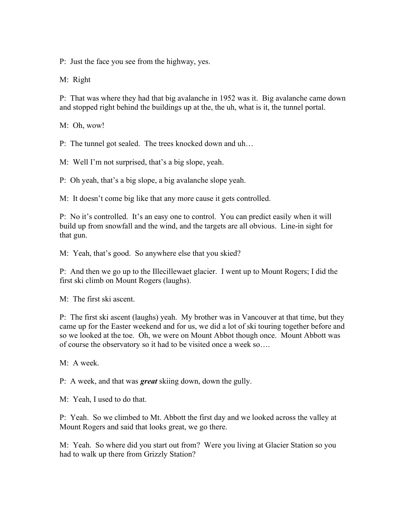P: Just the face you see from the highway, yes.

M: Right

P: That was where they had that big avalanche in 1952 was it. Big avalanche came down and stopped right behind the buildings up at the, the uh, what is it, the tunnel portal.

M: Oh, wow!

P: The tunnel got sealed. The trees knocked down and uh…

M: Well I'm not surprised, that's a big slope, yeah.

P: Oh yeah, that's a big slope, a big avalanche slope yeah.

M: It doesn't come big like that any more cause it gets controlled.

P: No it's controlled. It's an easy one to control. You can predict easily when it will build up from snowfall and the wind, and the targets are all obvious. Line-in sight for that gun.

M: Yeah, that's good. So anywhere else that you skied?

P: And then we go up to the Illecillewaet glacier. I went up to Mount Rogers; I did the first ski climb on Mount Rogers (laughs).

M: The first ski ascent.

P: The first ski ascent (laughs) yeah. My brother was in Vancouver at that time, but they came up for the Easter weekend and for us, we did a lot of ski touring together before and so we looked at the toe. Oh, we were on Mount Abbot though once. Mount Abbott was of course the observatory so it had to be visited once a week so….

M: A week.

P: A week, and that was **great** skiing down, down the gully.

M: Yeah, I used to do that.

P: Yeah. So we climbed to Mt. Abbott the first day and we looked across the valley at Mount Rogers and said that looks great, we go there.

M: Yeah. So where did you start out from? Were you living at Glacier Station so you had to walk up there from Grizzly Station?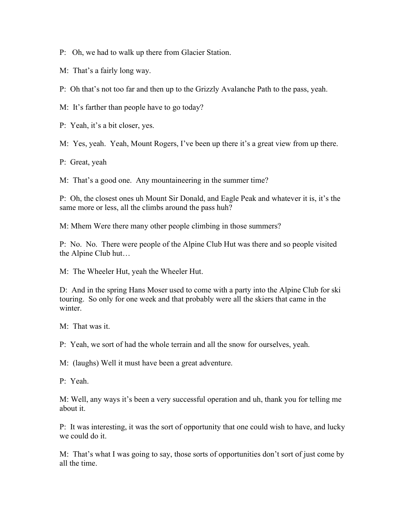P: Oh, we had to walk up there from Glacier Station.

M: That's a fairly long way.

P: Oh that's not too far and then up to the Grizzly Avalanche Path to the pass, yeah.

M: It's farther than people have to go today?

P: Yeah, it's a bit closer, yes.

M: Yes, yeah. Yeah, Mount Rogers, I've been up there it's a great view from up there.

P: Great, yeah

M: That's a good one. Any mountaineering in the summer time?

P: Oh, the closest ones uh Mount Sir Donald, and Eagle Peak and whatever it is, it's the same more or less, all the climbs around the pass huh?

M: Mhem Were there many other people climbing in those summers?

P: No. No. There were people of the Alpine Club Hut was there and so people visited the Alpine Club hut…

M: The Wheeler Hut, yeah the Wheeler Hut.

D: And in the spring Hans Moser used to come with a party into the Alpine Club for ski touring. So only for one week and that probably were all the skiers that came in the winter.

M: That was it.

P: Yeah, we sort of had the whole terrain and all the snow for ourselves, yeah.

M: (laughs) Well it must have been a great adventure.

P: Yeah.

M: Well, any ways it's been a very successful operation and uh, thank you for telling me about it.

P: It was interesting, it was the sort of opportunity that one could wish to have, and lucky we could do it.

M: That's what I was going to say, those sorts of opportunities don't sort of just come by all the time.